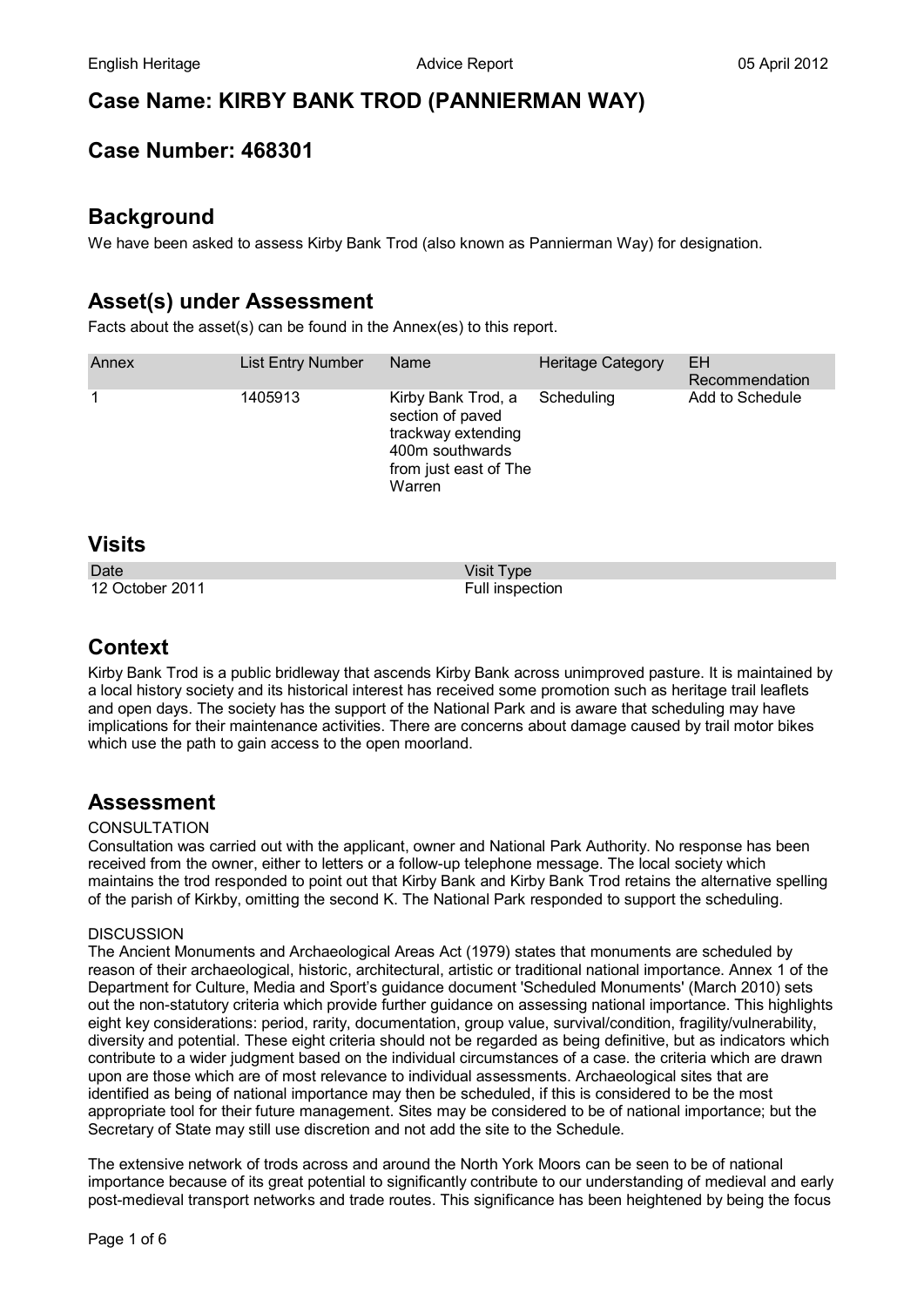# **Case Name: KIRBY BANK TROD (PANNIERMAN WAY)**

# **Case Number: 468301**

### **Background**

We have been asked to assess Kirby Bank Trod (also known as Pannierman Way) for designation.

# **Asset(s) under Assessment**

Facts about the asset(s) can be found in the Annex(es) to this report.

| Annex | <b>List Entry Number</b> | Name                                                                                                               | <b>Heritage Category</b> | EH<br>Recommendation |
|-------|--------------------------|--------------------------------------------------------------------------------------------------------------------|--------------------------|----------------------|
|       | 1405913                  | Kirby Bank Trod, a<br>section of paved<br>trackway extending<br>400m southwards<br>from just east of The<br>Warren | Scheduling               | Add to Schedule      |

### **Visits**

Date Visit Type

12 October 2011 **Full inspection** 

# **Context**

Kirby Bank Trod is a public bridleway that ascends Kirby Bank across unimproved pasture. It is maintained by a local history society and its historical interest has received some promotion such as heritage trail leaflets and open days. The society has the support of the National Park and is aware that scheduling may have implications for their maintenance activities. There are concerns about damage caused by trail motor bikes which use the path to gain access to the open moorland.

# **Assessment**

### CONSULTATION

Consultation was carried out with the applicant, owner and National Park Authority. No response has been received from the owner, either to letters or a follow-up telephone message. The local society which maintains the trod responded to point out that Kirby Bank and Kirby Bank Trod retains the alternative spelling of the parish of Kirkby, omitting the second K. The National Park responded to support the scheduling.

### **DISCUSSION**

The Ancient Monuments and Archaeological Areas Act (1979) states that monuments are scheduled by reason of their archaeological, historic, architectural, artistic or traditional national importance. Annex 1 of the Department for Culture, Media and Sport's guidance document 'Scheduled Monuments' (March 2010) sets out the non-statutory criteria which provide further guidance on assessing national importance. This highlights eight key considerations: period, rarity, documentation, group value, survival/condition, fragility/vulnerability, diversity and potential. These eight criteria should not be regarded as being definitive, but as indicators which contribute to a wider judgment based on the individual circumstances of a case. the criteria which are drawn upon are those which are of most relevance to individual assessments. Archaeological sites that are identified as being of national importance may then be scheduled, if this is considered to be the most appropriate tool for their future management. Sites may be considered to be of national importance; but the Secretary of State may still use discretion and not add the site to the Schedule.

The extensive network of trods across and around the North York Moors can be seen to be of national importance because of its great potential to significantly contribute to our understanding of medieval and early post-medieval transport networks and trade routes. This significance has been heightened by being the focus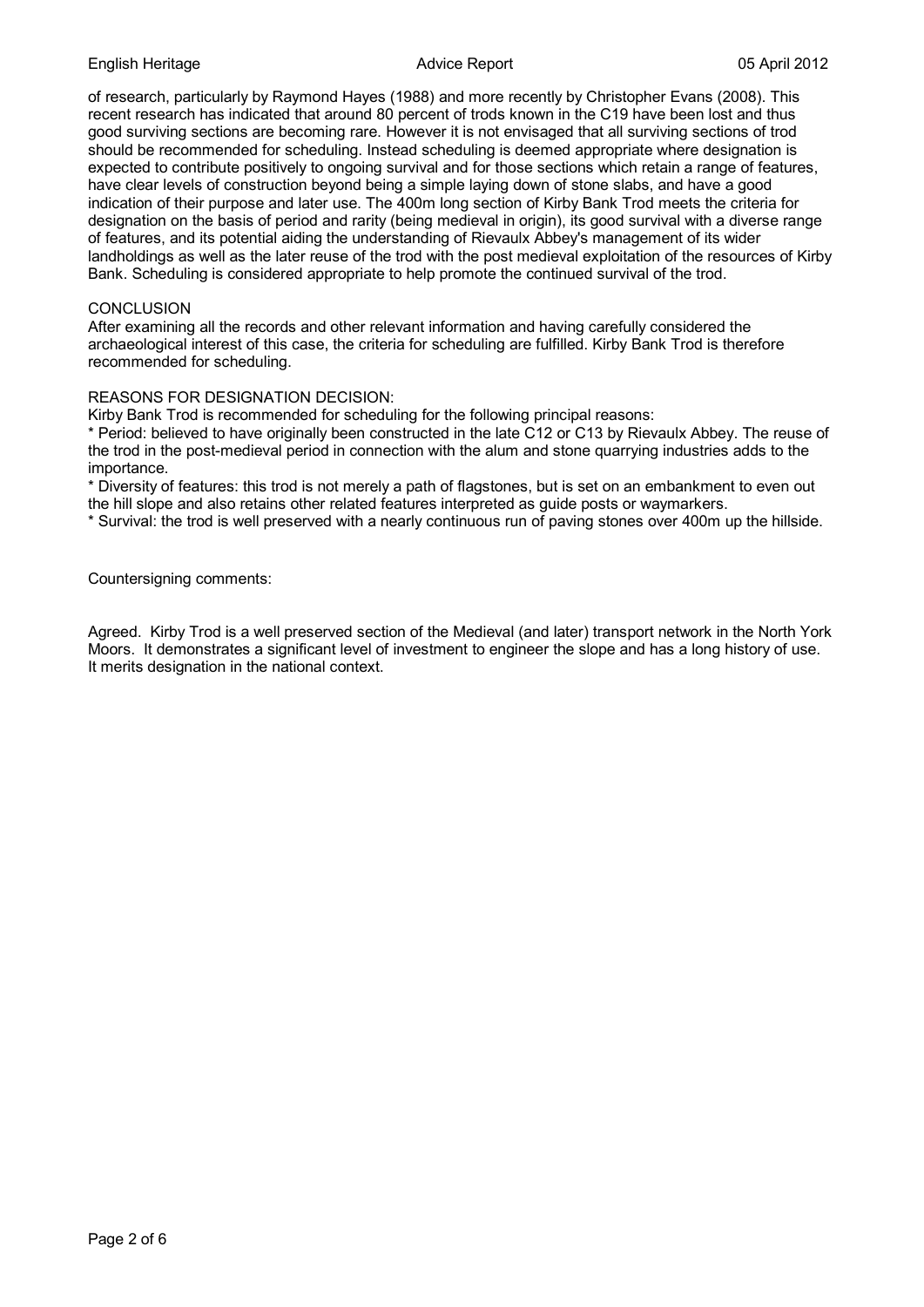#### English Heritage Advice Report 05 April 2012

of research, particularly by Raymond Hayes (1988) and more recently by Christopher Evans (2008). This recent research has indicated that around 80 percent of trods known in the C19 have been lost and thus good surviving sections are becoming rare. However it is not envisaged that all surviving sections of trod should be recommended for scheduling. Instead scheduling is deemed appropriate where designation is expected to contribute positively to ongoing survival and for those sections which retain a range of features, have clear levels of construction beyond being a simple laying down of stone slabs, and have a good indication of their purpose and later use. The 400m long section of Kirby Bank Trod meets the criteria for designation on the basis of period and rarity (being medieval in origin), its good survival with a diverse range of features, and its potential aiding the understanding of Rievaulx Abbey's management of its wider landholdings as well as the later reuse of the trod with the post medieval exploitation of the resources of Kirby Bank. Scheduling is considered appropriate to help promote the continued survival of the trod.

#### **CONCLUSION**

After examining all the records and other relevant information and having carefully considered the archaeological interest of this case, the criteria for scheduling are fulfilled. Kirby Bank Trod is therefore recommended for scheduling.

#### REASONS FOR DESIGNATION DECISION:

Kirby Bank Trod is recommended for scheduling for the following principal reasons:

\* Period: believed to have originally been constructed in the late C12 or C13 by Rievaulx Abbey. The reuse of the trod in the post-medieval period in connection with the alum and stone quarrying industries adds to the importance.

\* Diversity of features: this trod is not merely a path of flagstones, but is set on an embankment to even out the hill slope and also retains other related features interpreted as guide posts or waymarkers.

\* Survival: the trod is well preserved with a nearly continuous run of paving stones over 400m up the hillside.

Countersigning comments:

Agreed. Kirby Trod is a well preserved section of the Medieval (and later) transport network in the North York Moors. It demonstrates a significant level of investment to engineer the slope and has a long history of use. It merits designation in the national context.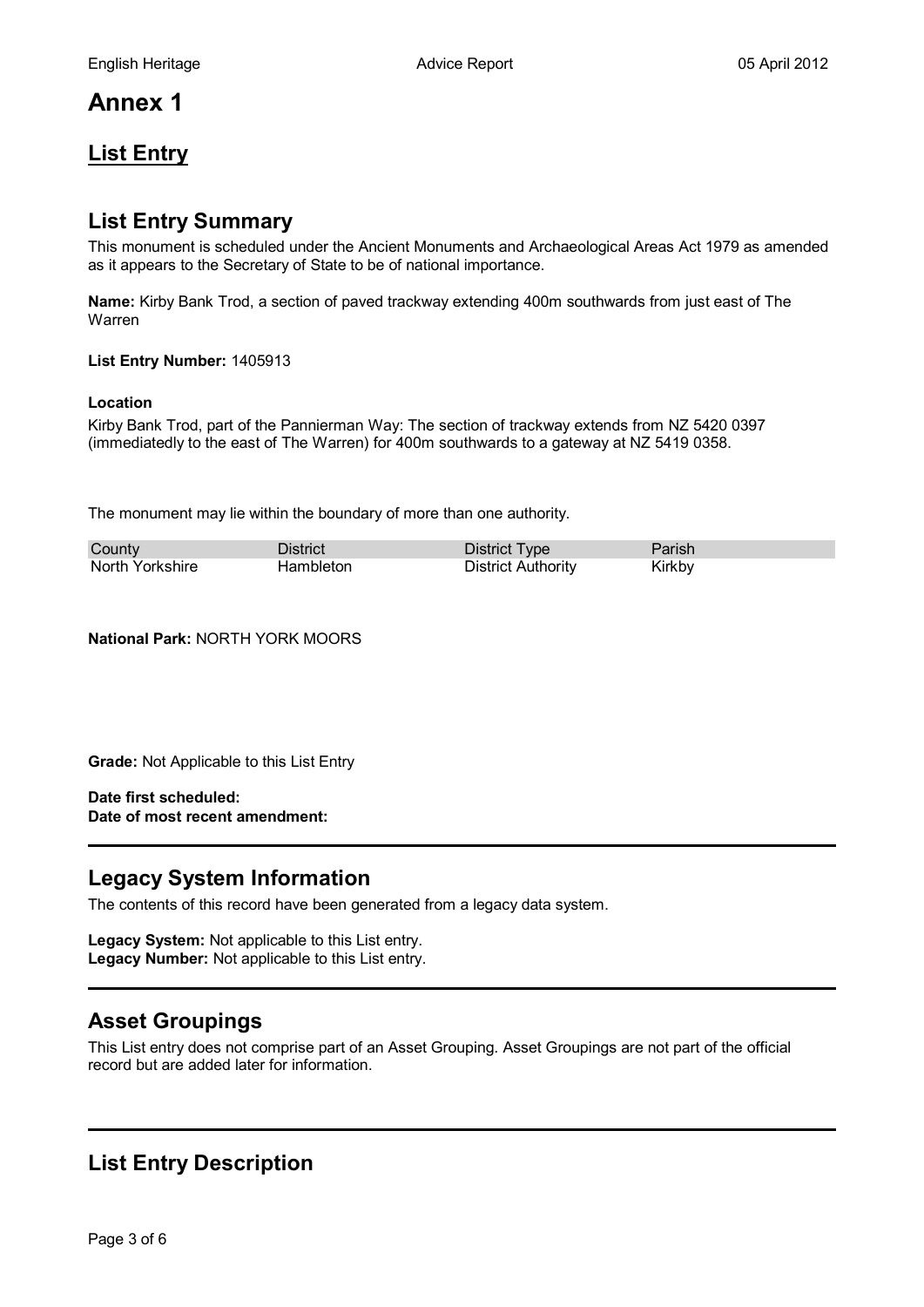# **Annex 1**

# **List Entry**

## **List Entry Summary**

This monument is scheduled under the Ancient Monuments and Archaeological Areas Act 1979 as amended as it appears to the Secretary of State to be of national importance.

**Name:** Kirby Bank Trod, a section of paved trackway extending 400m southwards from just east of The Warren

**List Entry Number:** 1405913

### **Location**

Kirby Bank Trod, part of the Pannierman Way: The section of trackway extends from NZ 5420 0397 (immediatedly to the east of The Warren) for 400m southwards to a gateway at NZ 5419 0358.

The monument may lie within the boundary of more than one authority.

| County          | District         | District Type             | <b>Parish</b> |
|-----------------|------------------|---------------------------|---------------|
| North Yorkshire | <b>Hambleton</b> | <b>District Authority</b> | Kirkby        |

**National Park:** NORTH YORK MOORS

**Grade:** Not Applicable to this List Entry

**Date first scheduled: Date of most recent amendment:**

### **Legacy System Information**

The contents of this record have been generated from a legacy data system.

**Legacy System:** Not applicable to this List entry. **Legacy Number:** Not applicable to this List entry.

### **Asset Groupings**

This List entry does not comprise part of an Asset Grouping. Asset Groupings are not part of the official record but are added later for information.

# **List Entry Description**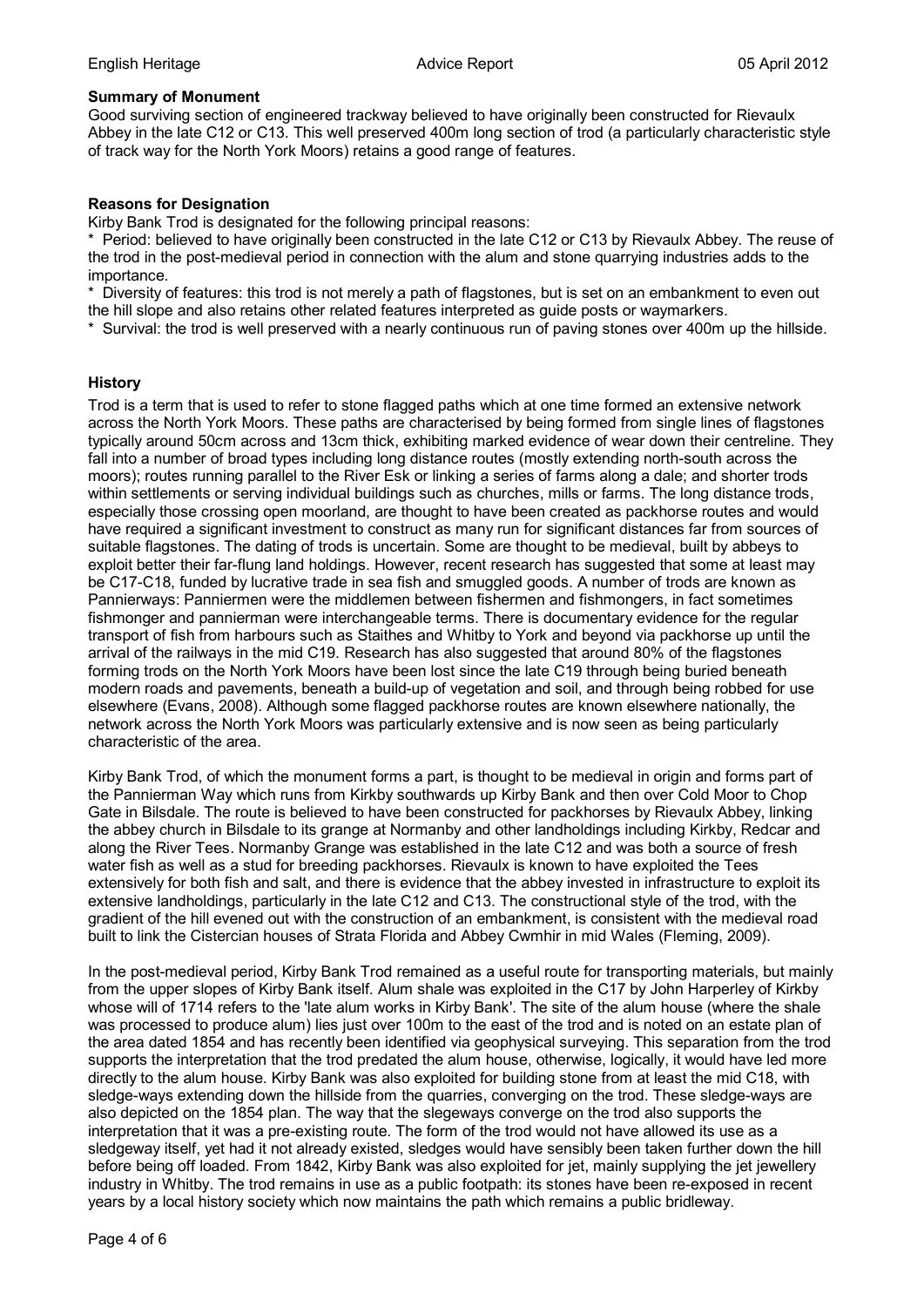### **Summary of Monument**

Good surviving section of engineered trackway believed to have originally been constructed for Rievaulx Abbey in the late C12 or C13. This well preserved 400m long section of trod (a particularly characteristic style of track way for the North York Moors) retains a good range of features.

### **Reasons for Designation**

Kirby Bank Trod is designated for the following principal reasons:

\* Period: believed to have originally been constructed in the late C12 or C13 by Rievaulx Abbey. The reuse of the trod in the post-medieval period in connection with the alum and stone quarrying industries adds to the importance.

\* Diversity of features: this trod is not merely a path of flagstones, but is set on an embankment to even out the hill slope and also retains other related features interpreted as guide posts or waymarkers.

\* Survival: the trod is well preserved with a nearly continuous run of paving stones over 400m up the hillside.

#### **History**

Trod is a term that is used to refer to stone flagged paths which at one time formed an extensive network across the North York Moors. These paths are characterised by being formed from single lines of flagstones typically around 50cm across and 13cm thick, exhibiting marked evidence of wear down their centreline. They fall into a number of broad types including long distance routes (mostly extending north-south across the moors); routes running parallel to the River Esk or linking a series of farms along a dale; and shorter trods within settlements or serving individual buildings such as churches, mills or farms. The long distance trods, especially those crossing open moorland, are thought to have been created as packhorse routes and would have required a significant investment to construct as many run for significant distances far from sources of suitable flagstones. The dating of trods is uncertain. Some are thought to be medieval, built by abbeys to exploit better their far-flung land holdings. However, recent research has suggested that some at least may be C17-C18, funded by lucrative trade in sea fish and smuggled goods. A number of trods are known as Pannierways: Panniermen were the middlemen between fishermen and fishmongers, in fact sometimes fishmonger and pannierman were interchangeable terms. There is documentary evidence for the regular transport of fish from harbours such as Staithes and Whitby to York and beyond via packhorse up until the arrival of the railways in the mid C19. Research has also suggested that around 80% of the flagstones forming trods on the North York Moors have been lost since the late C19 through being buried beneath modern roads and pavements, beneath a build-up of vegetation and soil, and through being robbed for use elsewhere (Evans, 2008). Although some flagged packhorse routes are known elsewhere nationally, the network across the North York Moors was particularly extensive and is now seen as being particularly characteristic of the area.

Kirby Bank Trod, of which the monument forms a part, is thought to be medieval in origin and forms part of the Pannierman Way which runs from Kirkby southwards up Kirby Bank and then over Cold Moor to Chop Gate in Bilsdale. The route is believed to have been constructed for packhorses by Rievaulx Abbey, linking the abbey church in Bilsdale to its grange at Normanby and other landholdings including Kirkby, Redcar and along the River Tees. Normanby Grange was established in the late C12 and was both a source of fresh water fish as well as a stud for breeding packhorses. Rievaulx is known to have exploited the Tees extensively for both fish and salt, and there is evidence that the abbey invested in infrastructure to exploit its extensive landholdings, particularly in the late C12 and C13. The constructional style of the trod, with the gradient of the hill evened out with the construction of an embankment, is consistent with the medieval road built to link the Cistercian houses of Strata Florida and Abbey Cwmhir in mid Wales (Fleming, 2009).

In the post-medieval period, Kirby Bank Trod remained as a useful route for transporting materials, but mainly from the upper slopes of Kirby Bank itself. Alum shale was exploited in the C17 by John Harperley of Kirkby whose will of 1714 refers to the 'late alum works in Kirby Bank'. The site of the alum house (where the shale was processed to produce alum) lies just over 100m to the east of the trod and is noted on an estate plan of the area dated 1854 and has recently been identified via geophysical surveying. This separation from the trod supports the interpretation that the trod predated the alum house, otherwise, logically, it would have led more directly to the alum house. Kirby Bank was also exploited for building stone from at least the mid C18, with sledge-ways extending down the hillside from the quarries, converging on the trod. These sledge-ways are also depicted on the 1854 plan. The way that the slegeways converge on the trod also supports the interpretation that it was a pre-existing route. The form of the trod would not have allowed its use as a sledgeway itself, yet had it not already existed, sledges would have sensibly been taken further down the hill before being off loaded. From 1842, Kirby Bank was also exploited for jet, mainly supplying the jet jewellery industry in Whitby. The trod remains in use as a public footpath: its stones have been re-exposed in recent years by a local history society which now maintains the path which remains a public bridleway.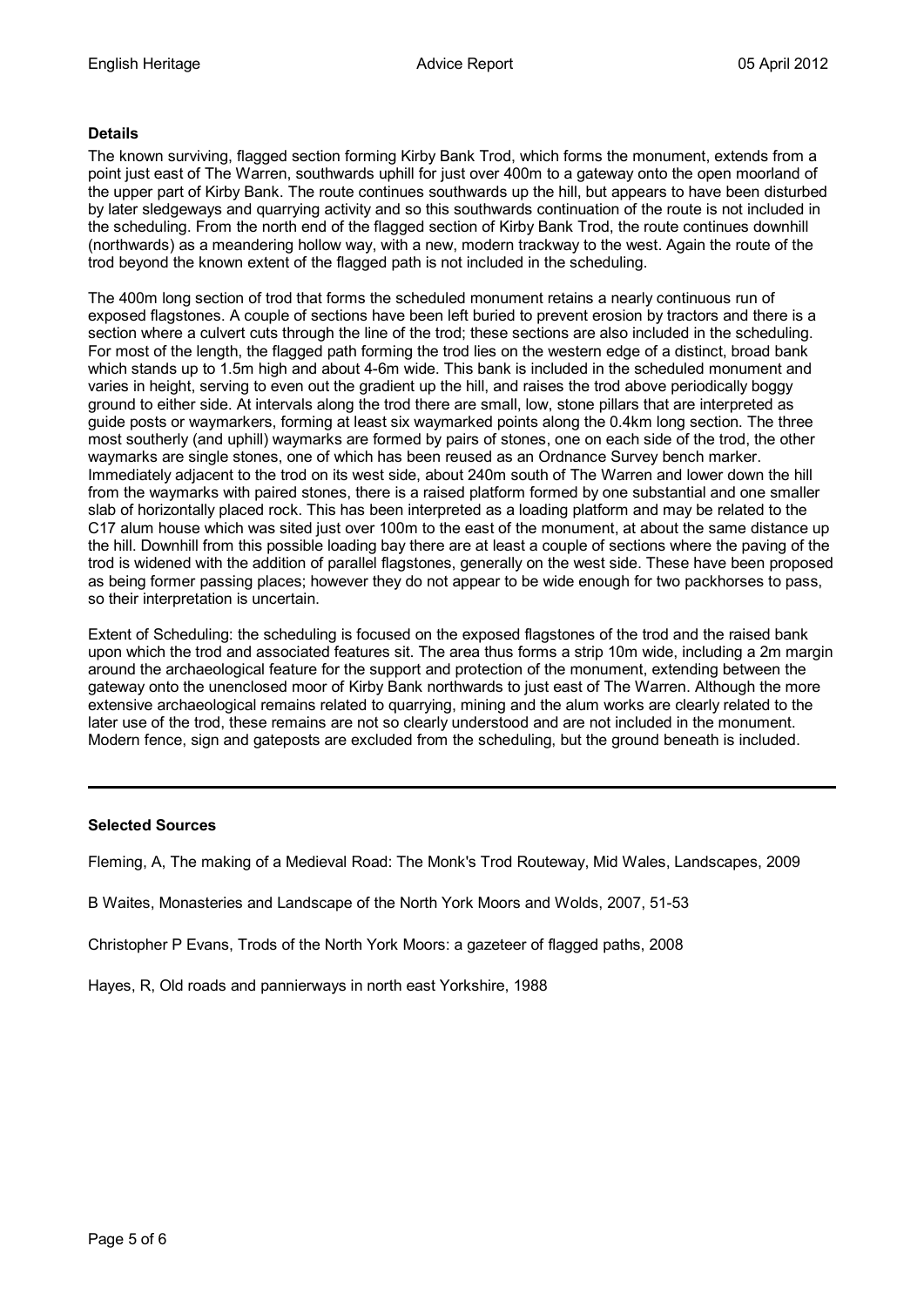### **Details**

The known surviving, flagged section forming Kirby Bank Trod, which forms the monument, extends from a point just east of The Warren, southwards uphill for just over 400m to a gateway onto the open moorland of the upper part of Kirby Bank. The route continues southwards up the hill, but appears to have been disturbed by later sledgeways and quarrying activity and so this southwards continuation of the route is not included in the scheduling. From the north end of the flagged section of Kirby Bank Trod, the route continues downhill (northwards) as a meandering hollow way, with a new, modern trackway to the west. Again the route of the trod beyond the known extent of the flagged path is not included in the scheduling.

The 400m long section of trod that forms the scheduled monument retains a nearly continuous run of exposed flagstones. A couple of sections have been left buried to prevent erosion by tractors and there is a section where a culvert cuts through the line of the trod; these sections are also included in the scheduling. For most of the length, the flagged path forming the trod lies on the western edge of a distinct, broad bank which stands up to 1.5m high and about 4-6m wide. This bank is included in the scheduled monument and varies in height, serving to even out the gradient up the hill, and raises the trod above periodically boggy ground to either side. At intervals along the trod there are small, low, stone pillars that are interpreted as guide posts or waymarkers, forming at least six waymarked points along the 0.4km long section. The three most southerly (and uphill) waymarks are formed by pairs of stones, one on each side of the trod, the other waymarks are single stones, one of which has been reused as an Ordnance Survey bench marker. Immediately adjacent to the trod on its west side, about 240m south of The Warren and lower down the hill from the waymarks with paired stones, there is a raised platform formed by one substantial and one smaller slab of horizontally placed rock. This has been interpreted as a loading platform and may be related to the C17 alum house which was sited just over 100m to the east of the monument, at about the same distance up the hill. Downhill from this possible loading bay there are at least a couple of sections where the paving of the trod is widened with the addition of parallel flagstones, generally on the west side. These have been proposed as being former passing places; however they do not appear to be wide enough for two packhorses to pass, so their interpretation is uncertain.

Extent of Scheduling: the scheduling is focused on the exposed flagstones of the trod and the raised bank upon which the trod and associated features sit. The area thus forms a strip 10m wide, including a 2m margin around the archaeological feature for the support and protection of the monument, extending between the gateway onto the unenclosed moor of Kirby Bank northwards to just east of The Warren. Although the more extensive archaeological remains related to quarrying, mining and the alum works are clearly related to the later use of the trod, these remains are not so clearly understood and are not included in the monument. Modern fence, sign and gateposts are excluded from the scheduling, but the ground beneath is included.

### **Selected Sources**

Fleming, A, The making of a Medieval Road: The Monk's Trod Routeway, Mid Wales, Landscapes, 2009

B Waites, Monasteries and Landscape of the North York Moors and Wolds, 2007, 51-53

Christopher P Evans, Trods of the North York Moors: a gazeteer of flagged paths, 2008

Hayes, R, Old roads and pannierways in north east Yorkshire, 1988